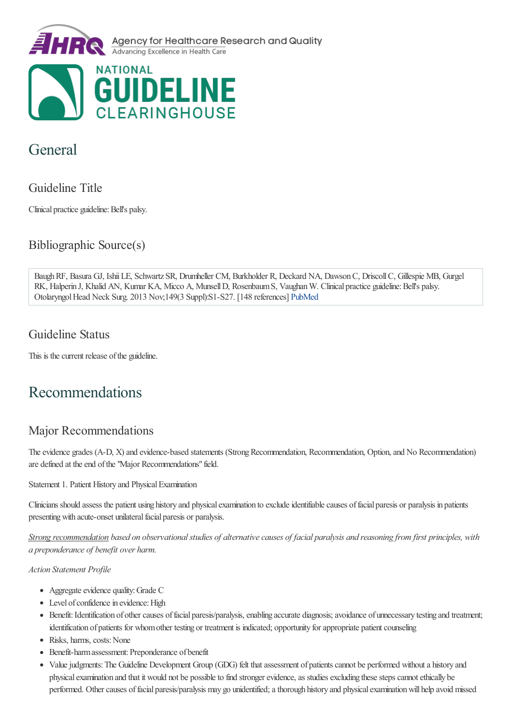

# General

### Guideline Title

Clinical practice guideline: Bell's palsy.

Bibliographic Source(s)

BaughRF, Basura GJ, IshiiLE, Schwartz SR, Drumheller CM, Burkholder R, Deckard NA, DawsonC, DriscollC, Gillespie MB, Gurgel RK, Halperin J, Khalid AN, Kumar KA, Micco A, Munsell D, Rosenbaum S, Vaughan W. Clinical practice guideline: Bell's palsy. Otolaryngol Head Neck Surg. 2013 Nov;149(3 Suppl):S1-S27. [148 references] [PubMed](http://www.ncbi.nlm.nih.gov/entrez/query.fcgi?cmd=Retrieve&db=pubmed&dopt=Abstract&list_uids=24189771)

### Guideline Status

This is the current release of the guideline.

# Recommendations

### Major Recommendations

The evidence grades (A-D, X) and evidence-based statements (Strong Recommendation, Recommendation, Option, and No Recommendation) are defined at the end of the "Major Recommendations" field.

Statement 1. Patient History and Physical Examination

Clinicians should assess the patient using history and physical examination to exclude identifiable causes of facial paresis or paralysis in patients presenting with acute-onset unilateral facial paresis or paralysis.

Strong recommendation based on observational studies of alternative causes of facial paralysis and reasoning from first principles, with *a preponderance of benefit over harm.*

- Aggregate evidence quality: Grade C
- Level of confidence in evidence: High
- Benefit: Identification of other causes of facial paresis/paralysis, enabling accurate diagnosis; avoidance of unnecessary testing and treatment; identification of patients for whom other testing or treatment is indicated; opportunity for appropriate patient counseling
- Risks, harms, costs: None
- Benefit-harm assessment: Preponderance of benefit
- Value judgments: The Guideline Development Group (GDG) felt that assessment of patients cannot be performed without a history and physical examination and that it would not be possible to find stronger evidence, as studies excluding these steps cannot ethically be performed. Other causes of facial paresis/paralysis may go unidentified; a thorough history and physical examination will help avoid missed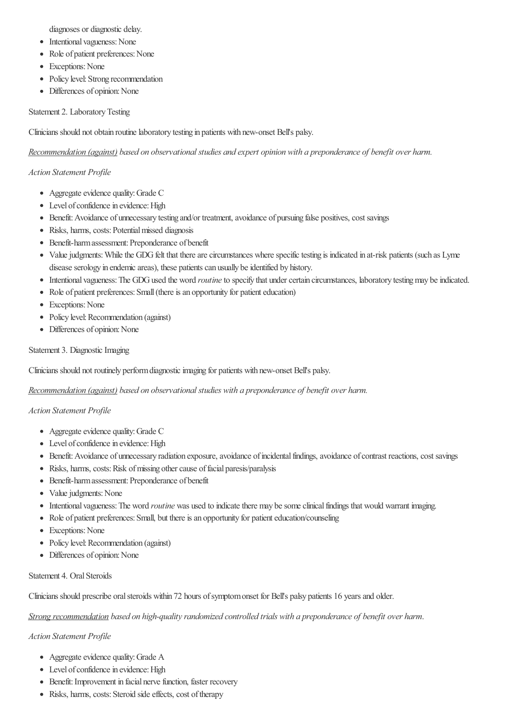diagnoses or diagnostic delay.

- Intentional vagueness: None
- Role of patient preferences: None
- Exceptions: None
- Policy level: Strong recommendation
- Differences of opinion: None

#### Statement 2. LaboratoryTesting

Clinicians should not obtain routinelaboratory testing in patients with new-onset Bell's palsy.

*Recommendation (against) based on observationalstudies and expert opinion with a preponderance of benefit over harm.*

#### *Action Statement Profile*

- Aggregate evidence quality: Grade C
- Level of confidence in evidence: High
- Benefit: Avoidance of unnecessary testing and/or treatment, avoidance of pursuing false positives, cost savings
- Risks, harms, costs: Potential missed diagnosis
- Benefit-harm assessment: Preponderance of benefit
- Value judgments: While the GDG felt that there are circumstances where specific testing is indicated in at-risk patients (such as Lyme disease serology in endemic areas), these patients can usually be identified by history.
- Intentional vagueness: The GDG used the word *routine* to specify that under certain circumstances, laboratory testing may be indicated.
- Role of patient preferences: Small (there is an opportunity for patient education)
- Exceptions: None
- Policy level: Recommendation (against)
- Differences of opinion: None

#### Statement 3. Diagnostic Imaging

Clinicians should not routinely performdiagnosticimaging for patients with new-onset Bell's palsy.

*Recommendation (against) based on observationalstudies with a preponderance of benefit over harm.*

#### *Action Statement Profile*

- Aggregate evidence quality: Grade C
- Level of confidence in evidence: High
- Benefit: Avoidance of unnecessary radiation exposure, avoidance of incidental findings, avoidance of contrast reactions, cost savings
- Risks, harms, costs: Risk of missing other cause of facial paresis/paralysis
- Benefit-harm assessment: Preponderance of benefit
- Value judgments: None
- Intentional vagueness: The word *routine* was used to indicate there may be some clinical findings that would warrant imaging.
- Role of patient preferences: Small, but there is an opportunity for patient education/counseling
- Exceptions: None
- Policy level: Recommendation (against)
- Differences of opinion: None

#### Statement 4. Oral Steroids

Clinicians should prescribe oral steroids within 72 hours of symptom onset for Bell's palsy patients 16 years and older.

*Strong recommendation based on high-qualityrandomized controlled trials with a preponderance of benefit over harm*.

- Aggregate evidence quality: Grade A
- Level of confidence in evidence: High
- Benefit: Improvement in facial nerve function, faster recovery
- Risks, harms, costs: Steroid side effects, cost of therapy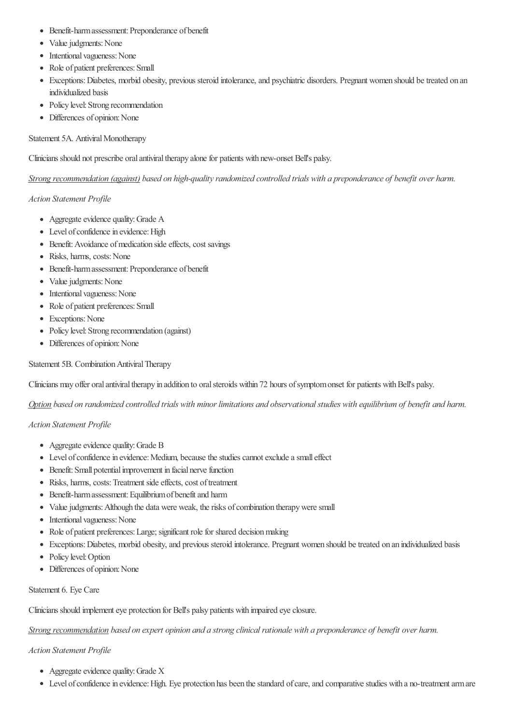- Benefit-harm assessment: Preponderance of benefit
- Value judgments: None
- Intentional vagueness: None
- Role of patient preferences: Small
- Exceptions: Diabetes, morbid obesity, previous steroid intolerance, and psychiatric disorders. Pregnant women should be treated on an individualized basis
- Policy level: Strong recommendation
- Differences of opinion: None

#### Statement 5A. Antiviral Monotherapy

Clinicians should not prescribe oral antiviral therapy alone for patients with new-onset Bell's palsy.

Strong recommendation (against) based on high-quality randomized controlled trials with a preponderance of benefit over harm.

#### *Action Statement Profile*

- Aggregate evidence quality: Grade A
- Level of confidence in evidence: High
- Benefit: Avoidance of medication side effects, cost savings
- Risks, harms, costs: None
- Benefit-harm assessment: Preponderance of benefit
- Value judgments: None
- Intentional vagueness: None
- Role of patient preferences: Small
- Exceptions: None
- Policy level: Strong recommendation (against)
- Differences of opinion: None

Statement 5B. Combination Antiviral Therapy

Clinicians may offer oral antiviral therapy in addition to oral steroids within 72 hours of symptom onset for patients with Bell's palsy.

Option based on randomized controlled trials with minor limitations and observational studies with equilibrium of benefit and harm.

#### *Action Statement Profile*

- Aggregate evidence quality: Grade B
- Level of confidence in evidence: Medium, because the studies cannot exclude a small effect
- Benefit: Small potential improvement in facial nerve function
- Risks, harms, costs: Treatment side effects, cost of treatment
- Benefit-harm assessment: Equilibrium of benefit and harm
- Value judgments: Although the data were weak, the risks of combination therapy were small
- Intentional vagueness: None
- Role of patient preferences: Large; significant role for shared decision making
- Exceptions:Diabetes, morbid obesity,and previous steroid intolerance. Pregnant women should betreated on an individualized basis
- Policy level: Option
- Differences of opinion: None

#### Statement 6. Eye Care

Clinicians should implement eye protection for Bell's palsy patients with impaired eye closure.

Strong recommendation based on expert opinion and a strong clinical rationale with a preponderance of benefit over harm.

- Aggregate evidence quality: Grade X
- Level of confidence in evidence: High. Eye protection has been the standard of care, and comparative studies with a no-treatment arm are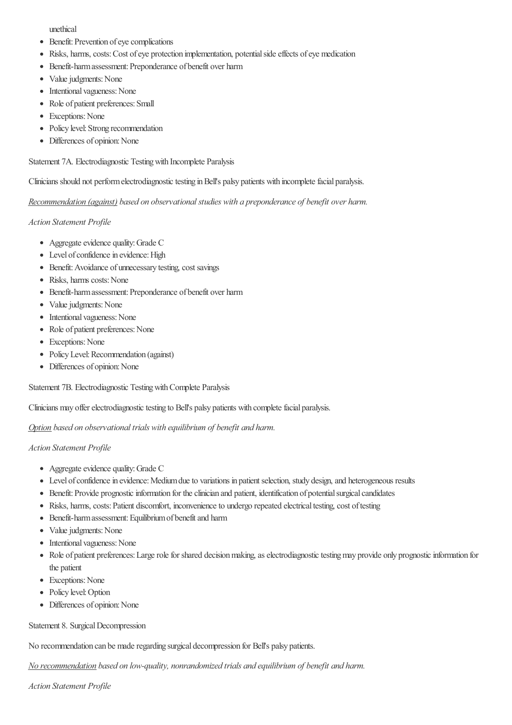unethical

- Benefit: Prevention of eye complications
- Risks, harms, costs: Cost of eye protection implementation, potential side effects of eye medication
- Benefit-harm assessment: Preponderance of benefit over harm
- Value judgments: None
- Intentional vagueness: None
- Role of patient preferences: Small
- Exceptions: None
- Policy level: Strong recommendation
- Differences of opinion: None

Statement 7A. Electrodiagnostic Testingwith Incomplete Paralysis

Clinicians should not performelectrodiagnostictesting inBell's palsy patients with incompletefacial paralysis.

*Recommendation (against) based on observationalstudies with a preponderance of benefit over harm.*

#### *Action Statement Profile*

- Aggregate evidence quality: Grade C
- Level of confidence in evidence: High
- Benefit: Avoidance of unnecessary testing, cost savings
- Risks, harms costs: None
- Benefit-harm assessment: Preponderance of benefit over harm
- Value judgments: None
- Intentional vagueness: None
- Role of patient preferences: None
- Exceptions: None
- Policy Level: Recommendation (against)
- Differences of opinion: None

Statement 7B. Electrodiagnostic Testing with Complete Paralysis

Clinicians may offer electrodiagnostic testing to Bell's palsy patients with complete facial paralysis.

*Option based on observational trials with equilibrium of benefit and harm.*

#### *Action Statement Profile*

- Aggregate evidence quality: Grade C
- Level of confidence in evidence: Medium due to variations in patient selection, study design, and heterogeneous results
- Benefit: Provide prognostic information for the clinician and patient, identification of potential surgical candidates
- Risks, harms, costs: Patient discomfort, inconvenience to undergo repeated electrical testing, cost of testing
- Benefit-harm assessment: Equilibrium of benefit and harm
- Value judgments: None
- Intentional vagueness: None
- Role of patient preferences: Large role for shared decision making, as electrodiagnostic testing may provide only prognostic information for the patient
- Exceptions: None
- Policy level: Option
- Differences of opinion: None

#### Statement 8. Surgical Decompression

No recommendation can be maderegarding surgical decompression for Bell's palsy patients.

*No recommendation based on low-quality, nonrandomized trials and equilibrium of benefit and harm.*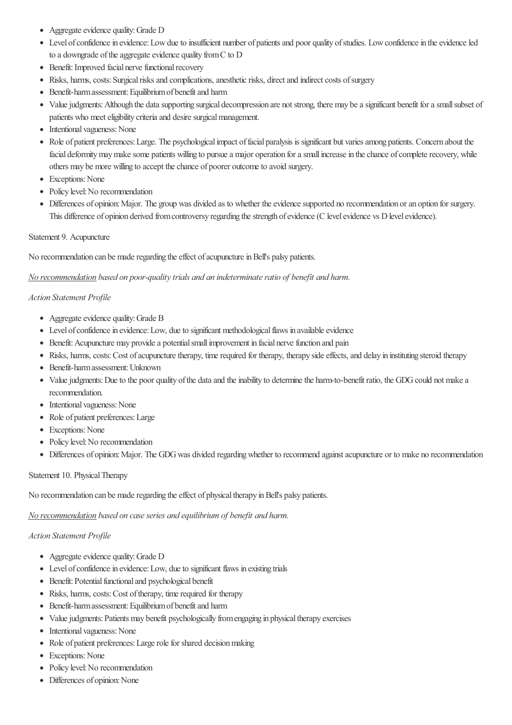- Aggregate evidence quality: Grade D
- Level of confidence in evidence: Low due to insufficient number of patients and poor quality of studies. Low confidence in the evidence led to a downgrade of the aggregate evidence quality from  $C$  to  $D$
- $\bullet$  Benefit: Improved facial nerve functional recovery
- Risks, harms, costs: Surgical risks and complications, anesthetic risks, direct and indirect costs of surgery
- Benefit-harm assessment: Equilibrium of benefit and harm
- Value judgments: Although the data supporting surgical decompression are not strong, there may be a significant benefit for a small subset of patients who meet eligibility criteria and desire surgical management.
- Intentional vagueness: None
- Role of patient preferences: Large. The psychological impact of facial paralysis is significant but varies among patients. Concern about the facial deformity may make some patients willing to pursue a major operation for a small increase in the chance of complete recovery, while others may be more willing to accept the chance of poorer outcome to avoid surgery.
- Exceptions: None
- Policy level: No recommendation
- Differences of opinion: Major. The group was divided as to whether the evidence supported no recommendation or an option for surgery. This difference of opinion derived from controversy regarding the strength of evidence (C level evidence vs D level evidence).

#### Statement 9. Acupuncture

No recommendation can be made regarding the effect of acupuncture in Bell's palsy patients.

#### *No recommendation based on poor-qualitytrials and an indeterminateratio of benefit and harm.*

#### *Action Statement Profile*

- Aggregate evidence quality: Grade B
- Level of confidence in evidence: Low, due to significant methodological flaws in available evidence
- Benefit: Acupuncture may provide a potential small improvement in facial nerve function and pain
- Risks, harms, costs: Cost of acupuncture therapy, time required for therapy, therapy side effects, and delay in instituting steroid therapy
- Benefit-harm assessment: Unknown
- Value judgments: Due to the poor quality of the data and the inability to determine the harm-to-benefit ratio, the GDG could not make a recommendation.
- Intentional vagueness: None
- Role of patient preferences: Large
- Exceptions: None
- Policy level: No recommendation
- Differences of opinion: Major. The GDG was divided regarding whether to recommend against acupuncture or to make no recommendation

#### Statement 10. Physical Therapy

No recommendation can be made regarding the effect of physical therapy in Bell's palsy patients.

*No* recommendation based on case series and equilibrium of benefit and harm.

- Aggregate evidence quality: Grade D
- Level of confidence in evidence: Low, due to significant flaws in existing trials
- Benefit: Potential functional and psychological benefit
- Risks, harms, costs: Cost of therapy, time required for therapy
- Benefit-harm assessment: Equilibrium of benefit and harm
- Value judgments: Patients may benefit psychologically from engaging in physical therapy exercises
- Intentional vagueness: None
- Role of patient preferences: Large role for shared decision making
- Exceptions: None
- Policy level: No recommendation
- Differences of opinion: None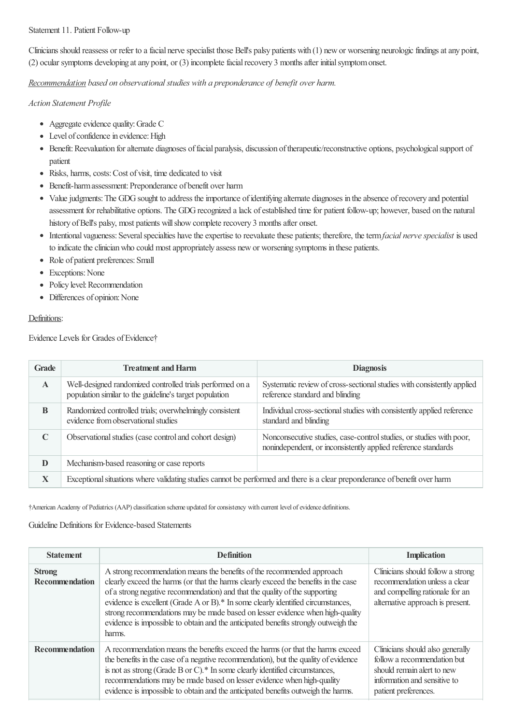#### Statement 11. Patient Follow-up

Clinicians should reassess or refer to a facial nerve specialist those Bell's palsy patients with (1) new or worsening neurologic findings at any point, (2) ocular symptoms developing at any point, or (3) incomplete facial recovery 3 months after initial symptom onset.

*Recommendation based on observationalstudies with a preponderance of benefit over harm.*

#### *Action Statement Profile*

- Aggregate evidence quality: Grade C
- Level of confidence in evidence: High
- Benefit: Reevaluation for alternate diagnoses of facial paralysis, discussion of therapeutic/reconstructive options, psychological support of patient
- Risks, harms, costs: Cost of visit, time dedicated to visit
- Benefit-harm assessment: Preponderance of benefit over harm
- Value judgments: The GDG sought to address the importance of identifying alternate diagnoses in the absence of recovery and potential assessment for rehabilitative options. The GDG recognized a lack of established time for patient follow-up; however, based on the natural history of Bell's palsy, most patients will show complete recovery 3 months after onset.
- Intentional vagueness: Several specialties have the expertise to reevaluate these patients; therefore, the term *facial nerve specialist* is used to indicate the clinician who could most appropriately assess new or worsening symptoms in these patients.
- Role of patient preferences: Small
- Exceptions: None
- Policy level: Recommendation
- Differences of opinion: None

#### Definitions:

Evidence Levels for Grades of Evidence†

| <b>Grade</b> | <b>Treatment and Harm</b>                                                                                                   | <b>Diagnosis</b>                                                                                                                     |
|--------------|-----------------------------------------------------------------------------------------------------------------------------|--------------------------------------------------------------------------------------------------------------------------------------|
| $\mathbf{A}$ | Well-designed randomized controlled trials performed on a<br>population similar to the guideline's target population        | Systematic review of cross-sectional studies with consistently applied<br>reference standard and blinding                            |
| B            | Randomized controlled trials; overwhelmingly consistent<br>evidence from observational studies                              | Individual cross-sectional studies with consistently applied reference<br>standard and blinding                                      |
| C            | Observational studies (case control and cohort design)                                                                      | Nonconsecutive studies, case-control studies, or studies with poor,<br>nonindependent, or inconsistently applied reference standards |
| D            | Mechanism-based reasoning or case reports                                                                                   |                                                                                                                                      |
| $\mathbf X$  | Exceptional situations where validating studies cannot be performed and there is a clear preponderance of benefit over harm |                                                                                                                                      |

†AmericanAcademy of Pediatrics (AAP)classification scheme updated forconsistency with current level ofevidence definitions.

Guideline Definitions for Evidence-based Statements

| <b>Statement</b>                       | <b>Definition</b>                                                                                                                                                                                                                                                                                                                                                                                                                                                                                                  | <b>Implication</b>                                                                                                                                    |
|----------------------------------------|--------------------------------------------------------------------------------------------------------------------------------------------------------------------------------------------------------------------------------------------------------------------------------------------------------------------------------------------------------------------------------------------------------------------------------------------------------------------------------------------------------------------|-------------------------------------------------------------------------------------------------------------------------------------------------------|
| <b>Strong</b><br><b>Recommendation</b> | A strong recommendation means the benefits of the recommended approach<br>clearly exceed the harms (or that the harms clearly exceed the benefits in the case<br>of a strong negative recommendation) and that the quality of the supporting<br>evidence is excellent (Grade A or B).* In some clearly identified circumstances,<br>strong recommendations may be made based on lesser evidence when high-quality<br>evidence is impossible to obtain and the anticipated benefits strongly outweigh the<br>harms. | Clinicians should follow a strong<br>recommendation unless a clear<br>and compelling rationale for an<br>alternative approach is present.             |
| <b>Recommendation</b>                  | A recommendation means the benefits exceed the harms (or that the harms exceed<br>the benefits in the case of a negative recommendation), but the quality of evidence<br>is not as strong (Grade B or C).* In some clearly identified circumstances,<br>recommendations may be made based on lesser evidence when high-quality<br>evidence is impossible to obtain and the anticipated benefits outweigh the harms.                                                                                                | Clinicians should also generally<br>follow a recommendation but<br>should remain alert to new<br>information and sensitive to<br>patient preferences. |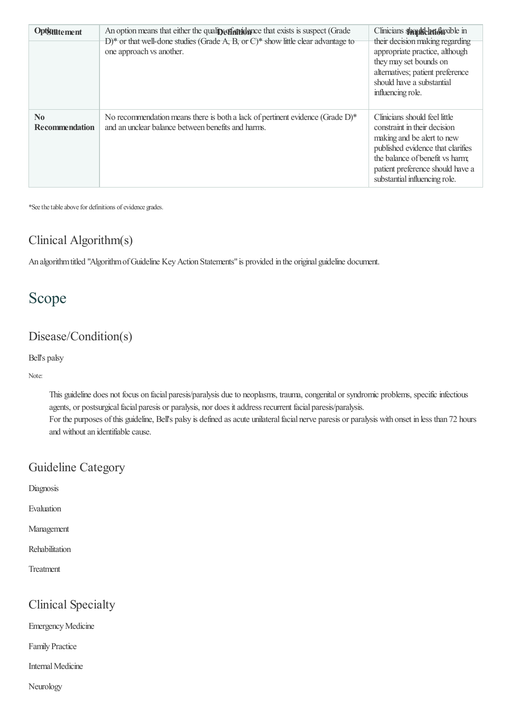| Optstatement                                    | An option means that either the quality effective that exists is suspect (Grade<br>$D^*$ or that well-done studies (Grade A, B, or C)* show little clear advantage to<br>one approach vs another. | Clinicians shapke badaxible in<br>their decision making regarding<br>appropriate practice, although<br>they may set bounds on<br>alternatives; patient preference<br>should have a substantial<br>influencing role.                      |
|-------------------------------------------------|---------------------------------------------------------------------------------------------------------------------------------------------------------------------------------------------------|------------------------------------------------------------------------------------------------------------------------------------------------------------------------------------------------------------------------------------------|
| $\mathbf{N}\mathbf{0}$<br><b>Recommendation</b> | No recommendation means there is both a lack of pertinent evidence (Grade $D$ )*<br>and an unclear balance between benefits and harms.                                                            | Clinicians should feel little<br>constraint in their decision<br>making and be alert to new<br>published evidence that clarifies<br>the balance of benefit vs harm;<br>patient preference should have a<br>substantial influencing role. |

\*See the table above for definitions of evidence grades.

#### Clinical Algorithm(s)

An algorithm titled "Algorithm of Guideline Key Action Statements" is provided in the original guideline document.

# Scope

### Disease/Condition(s)

Bell's palsy

Note:

This guideline does not focus on facial paresis/paralysis due to neoplasms, trauma, congenital or syndromic problems, specific infectious agents, or postsurgical facial paresis or paralysis, nor does it address recurrent facial paresis/paralysis. For the purposes of this guideline, Bell's palsy is defined as acute unilateral facial nerve paresis or paralysis with onset in less than 72 hours and without an identifiable cause.

### Guideline Category

Diagnosis

Evaluation

Management

Rehabilitation

Treatment

### Clinical Specialty

**Emergency Medicine** 

Family Practice

Internal Medicine

Neurology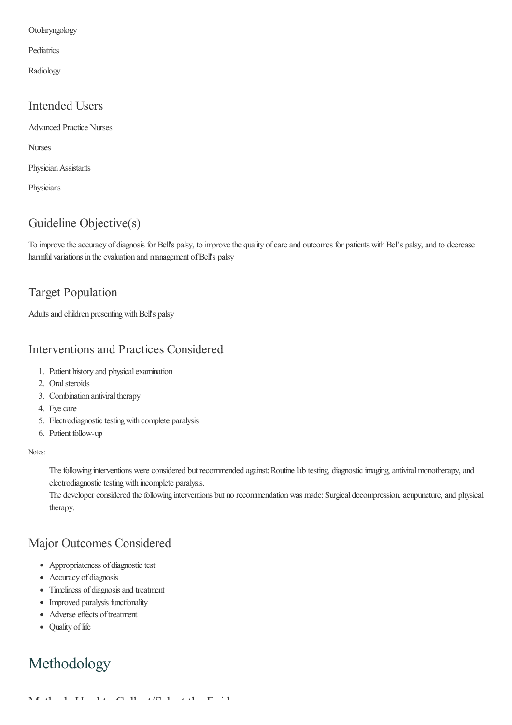Otolaryngology

Pediatrics

Radiology

#### Intended Users

Advanced Practice Nurses

Nurses

Physician Assistants

**Physicians** 

### Guideline Objective(s)

To improve the accuracy of diagnosis for Bell's palsy, to improve the quality of care and outcomes for patients with Bell's palsy, and to decrease harmful variations in the evaluation and management of Bell's palsy

### Target Population

Adults and children presenting with Bell's palsy

### Interventions and Practices Considered

- 1. Patient history and physical examination
- 2. Oralsteroids
- 3. Combination antiviral therapy
- 4. Eye care
- 5. Electrodiagnostic testing with complete paralysis
- 6. Patient follow-up

#### Notes:

The following interventions were considered but recommended against: Routine lab testing, diagnostic imaging, antiviral monotherapy, and electrodiagnostic testing with incomplete paralysis.

The developer considered the following interventions but no recommendation was made: Surgical decompression, acupuncture, and physical therapy.

### Major Outcomes Considered

- Appropriateness of diagnostic test
- Accuracy of diagnosis
- Timeliness of diagnosis and treatment
- Improved paralysis functionality
- Adverse effects of treatment
- Ouality of life

# Methodology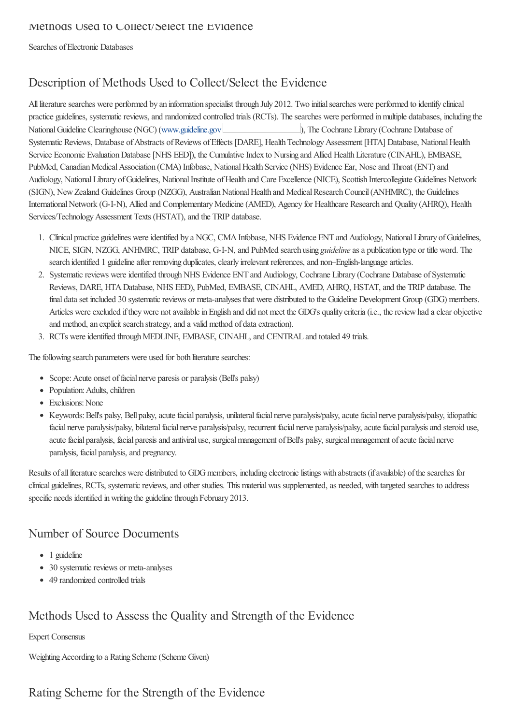Searches of Electronic Databases

### Description of Methods Used to Collect/Select the Evidence

All literature searches were performed by an information specialist through July 2012. Two initial searches were performed to identify clinical practice guidelines, systematic reviews, and randomized controlled trials (RCTs). The searches were performed in multiple databases, including the National Guideline Clearinghouse (NGC) [\(www.guideline.gov](http://www.guideline.gov) ), The Cochrane Library (Cochrane Database of Systematic Reviews, Database of Abstracts of Reviews of Effects [DARE], Health Technology Assessment [HTA] Database, National Health Service Economic Evaluation Database [NHS EED]), the Cumulative Index to Nursing and Allied Health Literature (CINAHL), EMBASE, PubMed, Canadian Medical Association (CMA) Infobase, National Health Service (NHS) Evidence Ear, Nose and Throat (ENT) and Audiology, National Library of Guidelines, National Institute of Health and Care Excellence (NICE), Scottish Intercollegiate Guidelines Network (SIGN), New Zealand Guidelines Group (NZGG), Australian National Health and Medical Research Council (ANHMRC), the Guidelines International Network (G-I-N), Allied and Complementary Medicine (AMED), Agency for Healthcare Research and Quality (AHRQ), Health Services/Technology Assessment Texts (HSTAT), and the TRIP database.

- 1. Clinical practice guidelines were identified by a NGC, CMA Infobase, NHS Evidence ENT and Audiology, National Library of Guidelines, NICE, SIGN, NZGG, ANHMRC, TRIP database, G-I-N,and PubMed search using *guideline*asa publication type or title word. The search identified 1 guideline after removing duplicates, clearly irrelevant references, and non–English-language articles.
- 2. Systematic reviews were identified through NHS Evidence ENT and Audiology, Cochrane Library (Cochrane Database of Systematic Reviews, DARE, HTA Database, NHS EED), PubMed, EMBASE, CINAHL, AMED, AHRQ, HSTAT, and the TRIP database. The final data set included 30 systematic reviews or meta-analyses that were distributed to the Guideline Development Group (GDG) members. Articles were excluded if they were not available in English and did not meet the GDG's quality criteria (i.e., the review had a clear objective and method, an explicit search strategy, and a valid method of data extraction).
- 3. RCTs were identified through MEDLINE, EMBASE, CINAHL, and CENTRAL and totaled 49 trials.

The following search parameters were used for both literature searches:

- Scope: Acute onset of facial nerve paresis or paralysis (Bell's palsy)
- Population: Adults, children
- Exclusions: None
- Keywords: Bell's palsy, Bell palsy, acute facial paralysis, unilateral facial nerve paralysis/palsy, acute facial nerve paralysis/palsy, idiopathic facial nerve paralysis/palsy, bilateral facial nerve paralysis/palsy, recurrent facial nerve paralysis/palsy, acute facial paralysis and steroid use, acute facial paralysis, facial paresis and antiviral use, surgical management of Bell's palsy, surgical management of acute facial nerve paralysis, facial paralysis, and pregnancy.

Results of all literature searches were distributed to GDG members, including electronic listings with abstracts (if available) of the searches for clinical guidelines, RCTs, systematicreviews,and other studies. This materialwas supplemented,as needed, with targeted searches to address specific needs identified in writing the guideline through February 2013.

### Number of Source Documents

- 1 guideline
- 30 systematic reviews or meta-analyses
- 49 randomized controlled trials

### Methods Used to Assess the Quality and Strength of the Evidence

#### Expert Consensus

Weighting According to a Rating Scheme (Scheme Given)

# Rating Scheme for the Strength of the Evidence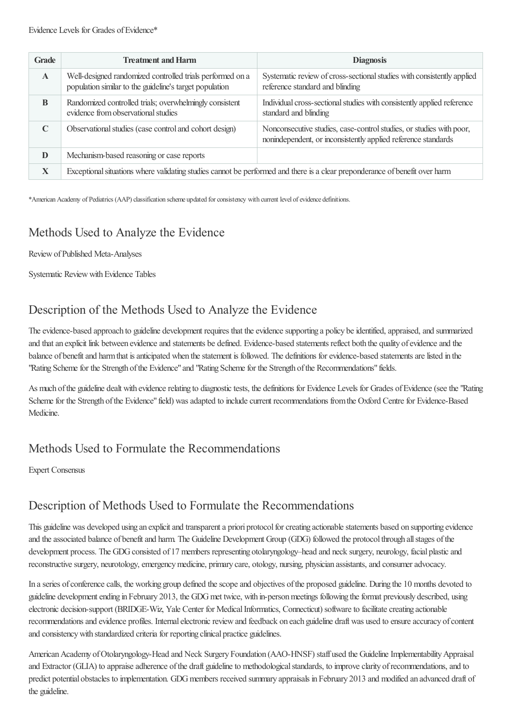| <b>Grade</b> | <b>Treatment and Harm</b>                                                                                                   | <b>Diagnosis</b>                                                                                                                     |  |
|--------------|-----------------------------------------------------------------------------------------------------------------------------|--------------------------------------------------------------------------------------------------------------------------------------|--|
| $\mathbf{A}$ | Well-designed randomized controlled trials performed on a<br>population similar to the guideline's target population        | Systematic review of cross-sectional studies with consistently applied<br>reference standard and blinding                            |  |
| <sup>B</sup> | Randomized controlled trials; overwhelmingly consistent<br>evidence from observational studies                              | Individual cross-sectional studies with consistently applied reference<br>standard and blinding                                      |  |
|              | Observational studies (case control and cohort design)                                                                      | Nonconsecutive studies, case-control studies, or studies with poor,<br>nonindependent, or inconsistently applied reference standards |  |
| D            | Mechanism-based reasoning or case reports                                                                                   |                                                                                                                                      |  |
| $\mathbf X$  | Exceptional situations where validating studies cannot be performed and there is a clear preponderance of benefit over harm |                                                                                                                                      |  |

\*AmericanAcademy of Pediatrics (AAP)classification scheme updated forconsistency with current level ofevidence definitions.

### Methods Used to Analyze the Evidence

ReviewofPublished Meta-Analyses

Systematic Review with Evidence Tables

### Description of the Methods Used to Analyze the Evidence

The evidence-based approach to guideline development requires that the evidence supporting a policy be identified, appraised, and summarized and that an explicit link between evidence and statements be defined. Evidence-based statements reflect both the quality of evidence and the balance of benefit and harm that is anticipated when the statement is followed. The definitions for evidence-based statements are listed in the "Rating Scheme for the Strength of the Evidence" and "Rating Scheme for the Strength of the Recommendations" fields.

As much of the guideline dealt with evidence relating to diagnostic tests, the definitions for Evidence Levels for Grades of Evidence (see the "Rating Scheme for the Strength of the Evidence" field) was adapted to include current recommendations from the Oxford Centre for Evidence-Based Medicine.

### Methods Used to Formulate the Recommendations

Expert Consensus

### Description of Methods Used to Formulate the Recommendations

This guideline was developed using an explicit and transparent a priori protocol for creating actionable statements based on supporting evidence and the associated balance of benefit and harm. The Guideline Development Group (GDG) followed the protocol through all stages of the development process. The GDG consisted of 17 members representing otolaryngology–head and neck surgery, neurology, facial plastic and reconstructive surgery, neurotology, emergency medicine, primary care, otology, nursing, physician assistants, and consumer advocacy.

In a series of conference calls, the working group defined the scope and objectives of the proposed guideline. During the 10 months devoted to guideline development ending in February 2013, the GDG met twice, with in-person meetings following the format previously described, using electronic decision-support (BRIDGE-Wiz, Yale Center for Medical Informatics, Connecticut) software to facilitate creating actionable recommendations and evidence profiles. Internal electronic review and feedback on each guideline draft was used to ensure accuracy of content and consistency with standardized criteria for reporting clinical practice guidelines.

American Academy of Otolaryngology-Head and Neck Surgery Foundation (AAO-HNSF) staff used the Guideline Implementability Appraisal and Extractor (GLIA) to appraise adherence of the draft guideline to methodological standards, to improve clarity of recommendations, and to predict potential obstacles to implementation. GDG members received summary appraisals in February 2013 and modified an advanced draft of the guideline.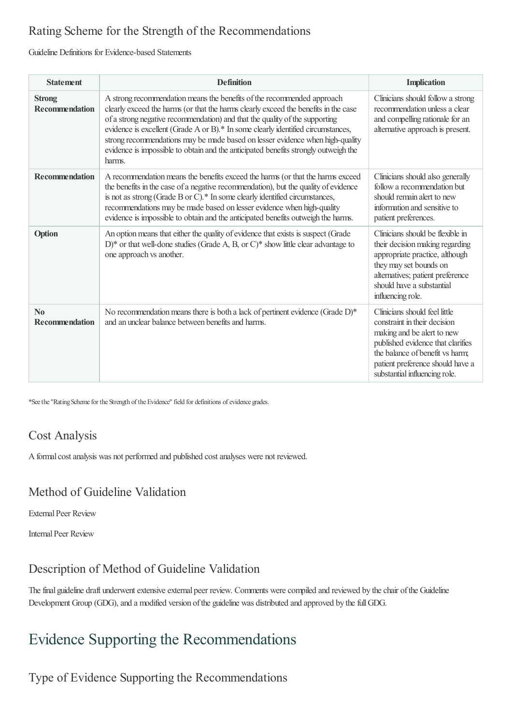### Rating Scheme for the Strength of the Recommendations

#### Guideline Definitions for Evidence-based Statements

| <b>Statement</b>                                | <b>Definition</b>                                                                                                                                                                                                                                                                                                                                                                                                                                                                                                  | <b>Implication</b>                                                                                                                                                                                                                       |
|-------------------------------------------------|--------------------------------------------------------------------------------------------------------------------------------------------------------------------------------------------------------------------------------------------------------------------------------------------------------------------------------------------------------------------------------------------------------------------------------------------------------------------------------------------------------------------|------------------------------------------------------------------------------------------------------------------------------------------------------------------------------------------------------------------------------------------|
| <b>Strong</b><br><b>Recommendation</b>          | A strong recommendation means the benefits of the recommended approach<br>clearly exceed the harms (or that the harms clearly exceed the benefits in the case<br>of a strong negative recommendation) and that the quality of the supporting<br>evidence is excellent (Grade A or B).* In some clearly identified circumstances,<br>strong recommendations may be made based on lesser evidence when high-quality<br>evidence is impossible to obtain and the anticipated benefits strongly outweigh the<br>harms. | Clinicians should follow a strong<br>recommendation unless a clear<br>and compelling rationale for an<br>alternative approach is present.                                                                                                |
| <b>Recommendation</b>                           | A recommendation means the benefits exceed the harms (or that the harms exceed<br>the benefits in the case of a negative recommendation), but the quality of evidence<br>is not as strong (Grade B or C).* In some clearly identified circumstances,<br>recommendations may be made based on lesser evidence when high-quality<br>evidence is impossible to obtain and the anticipated benefits outweigh the harms.                                                                                                | Clinicians should also generally<br>follow a recommendation but<br>should remain alert to new<br>information and sensitive to<br>patient preferences.                                                                                    |
| Option                                          | An option means that either the quality of evidence that exists is suspect (Grade<br>D)* or that well-done studies (Grade A, B, or C)* show little clear advantage to<br>one approach vs another.                                                                                                                                                                                                                                                                                                                  | Clinicians should be flexible in<br>their decision making regarding<br>appropriate practice, although<br>they may set bounds on<br>alternatives; patient preference<br>should have a substantial<br>influencing role.                    |
| $\mathbf{N}\mathbf{0}$<br><b>Recommendation</b> | No recommendation means there is both a lack of pertinent evidence (Grade D)*<br>and an unclear balance between benefits and harms.                                                                                                                                                                                                                                                                                                                                                                                | Clinicians should feel little<br>constraint in their decision<br>making and be alert to new<br>published evidence that clarifies<br>the balance of benefit vs harm;<br>patient preference should have a<br>substantial influencing role. |

\*See the "Rating Scheme for the Strength of the Evidence" field for definitions of evidence grades.

### Cost Analysis

Aformalcostanalysis was not performed and published costanalyses were not reviewed.

### Method of Guideline Validation

**External Peer Review** 

**Internal Peer Review** 

### Description of Method of Guideline Validation

The final guideline draft underwent extensive external peer review. Comments were compiled and reviewed by the chair of the Guideline Development Group (GDG), and a modified version of the guideline was distributed and approved by the full GDG.

# Evidence Supporting the Recommendations

# Type of Evidence Supporting the Recommendations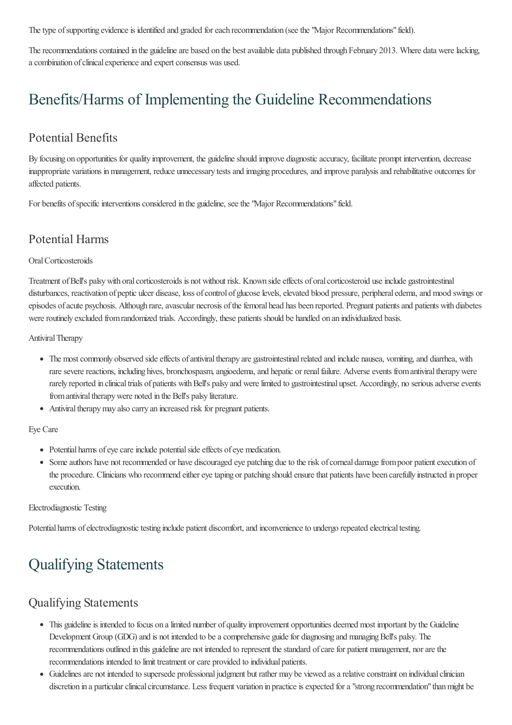The type of supporting evidence is identified and graded for each recommendation (see the "Major Recommendations" field).

The recommendations contained in the guideline are based on the best available data published through February 2013. Where data were lacking, a combination of clinical experience and expert consensus was used.

# Benefits/Harms of Implementing the Guideline Recommendations

### Potential Benefits

By focusing on opportunities for quality improvement, the guidelineshould improve diagnosticaccuracy, facilitate prompt intervention, decrease inappropriate variations inmanagement, reduce unnecessary testsand imaging procedures,and improve paralysisand rehabilitative outcomes for affected patients.

For benefits of specific interventions considered in the guideline, see the "Major Recommendations" field.

### Potential Harms

#### OralCorticosteroids

Treatment of Bell's palsy with oral corticosteroids is not without risk. Known side effects of oral corticosteroid use include gastrointestinal disturbances, reactivation of peptic ulcer disease, loss of control of glucose levels, elevated blood pressure, peripheral edema, and mood swings or episodes of acute psychosis. Although rare, avascular necrosis of the femoral head has been reported. Pregnant patients and patients with diabetes were routinely excluded from randomized trials. Accordingly, these patients should be handled on an individualized basis.

Antiviral Therapy

- The most commonly observed side effects of antiviral therapy are gastrointestinal related and include nausea, vomiting, and diarrhea, with rare severe reactions, including hives, bronchospasm, angioedema, and hepatic or renal failure. Adverse events from antiviral therapy were rarely reported in clinical trials of patients with Bell's palsy and were limited to gastrointestinal upset. Accordingly, no serious adverse events from antiviral therapy were noted in the Bell's palsy literature.
- Antiviral therapy may also carry an increased risk for pregnant patients.

Eye Care

- Potential harms of eye care include potential side effects of eye medication.
- Some authors have not recommended or have discouraged eye patching due to the risk of corneal damage from poor patient execution of the procedure. Clinicians who recommend either eye taping or patching should ensure that patients have been carefully instructed in proper execution.

#### Electrodiagnostic Testing

Potential harms of electrodiagnostic testing include patient discomfort, and inconvenience to undergo repeated electrical testing.

# Qualifying Statements

### Qualifying Statements

- This guideline is intended to focus on a limited number of quality improvement opportunities deemed most important by the Guideline Development Group (GDG) and is not intended to be a comprehensive guide for diagnosing and managing Bell's palsy. The recommendations outlined in this guideline are not intended to represent the standard of care for patient management, nor are the recommendations intended to limit treatment or care provided to individual patients.
- Guidelines are not intended to supersede professional judgment but rather may be viewed as a relative constraint on individual clinician discretion in a particular clinical circumstance. Less frequent variation in practice is expected for a "strong recommendation" than might be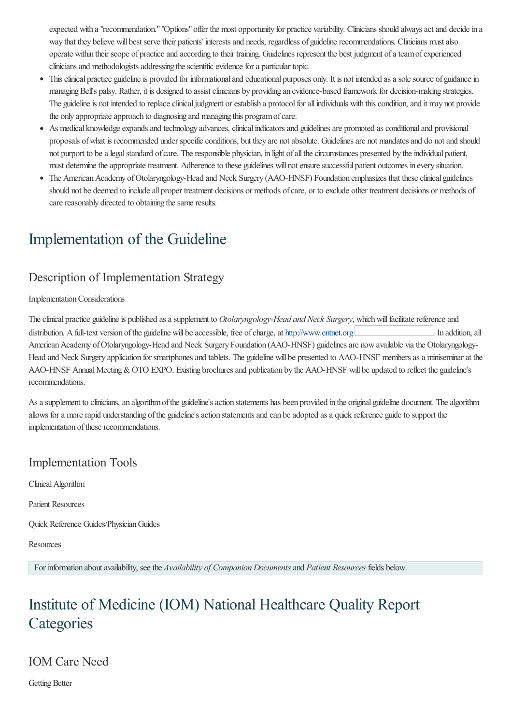expected with a "recommendation." "Options" offer the most opportunity for practice variability. Clinicians should always act and decide in a way that they believe will best serve their patients' interests and needs, regardless of guideline recommendations. Clinicians must also operate within their scope of practiceand according to their training. Guidelines represent the best judgment ofateamofexperienced clinicians and methodologists addressing the scientific evidence for a particular topic.

- This clinical practice guideline is provided for informational and educational purposes only. It is not intended as a sole source of guidance in managing Bell's palsy. Rather, it is designed to assist clinicians by providing an evidence-based framework for decision-making strategies. The guideline is not intended to replace clinical judgment or establish a protocol for all individuals with this condition, and it may not provide the only appropriate approach to diagnosing and managing this program of care.
- As medical knowledge expands and technology advances, clinical indicators and guidelines are promoted as conditional and provisional proposals of what is recommended under specific conditions, but they are not absolute. Guidelines are not mandates and do not and should not purport to be a legal standard of care. The responsible physician, in light of all the circumstances presented by the individual patient, must determine the appropriate treatment. Adherence to these guidelines will not ensure successful patient outcomes in every situation.
- The American Academy of Otolaryngology-Head and Neck Surgery (AAO-HNSF) Foundation emphasizes that these clinical guidelines should not be deemed to include all proper treatment decisions or methods of care, or to exclude other treatment decisions or methods of care reasonably directed to obtaining the same results.

# Implementation of the Guideline

### Description of Implementation Strategy

#### ImplementationConsiderations

The clinical practice guideline is published as a supplement to *Otolaryngology-Head and Neck Surgery*, which will facilitate reference and distribution. A full-text version of the guideline will be accessible, free of charge, at [http://www.entnet.org](/Home/Disclaimer?id=47483&contentType=summary&redirect=http%3a%2f%2fwww.entnet.org) ... In addition, all American Academy of Otolaryngology-Head and Neck Surgery Foundation (AAO-HNSF) guidelines are now available via the Otolaryngology-Head and Neck Surgery application for smartphones and tablets. The guideline will be presented to AAO-HNSF members as a miniseminar at the AAO-HNSF Annual Meeting & OTO EXPO. Existing brochures and publication by the AAO-HNSF will be updated to reflect the guideline's recommendations.

As a supplement to clinicians, an algorithm of the guideline's action statements has been provided in the original guideline document. The algorithm allows for a more rapid understanding of the guideline's action statements and can be adopted as a quick reference guide to support the implementation of these recommendations.

### Implementation Tools

Clinical Algorithm

Patient Resources

Quick Reference Guides/PhysicianGuides

Resources

For information aboutavailability, seethe *Availability of Companion Documents*and *Patient Resources* fields below.

# Institute of Medicine (IOM) National Healthcare Quality Report **Categories**

### IOM Care Need

Getting Better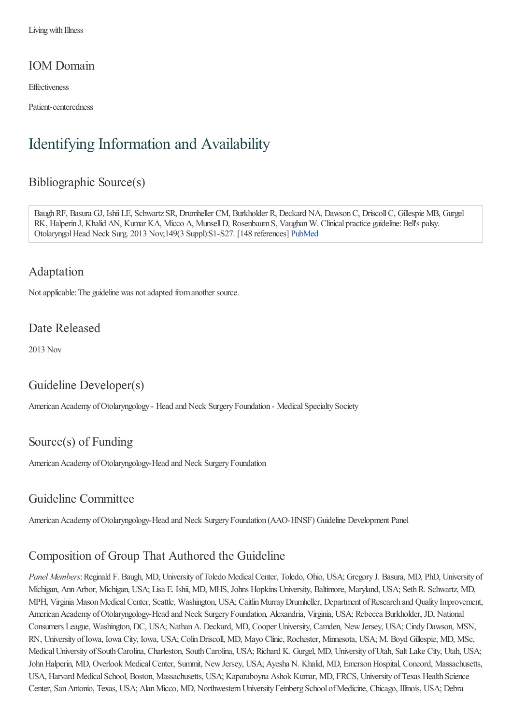Living with Illness

#### IOM Domain

**Effectiveness** 

Patient-centeredness

# Identifying Information and Availability

### Bibliographic Source(s)

BaughRF, Basura GJ, IshiiLE, Schwartz SR, Drumheller CM, Burkholder R, Deckard NA, DawsonC, DriscollC, Gillespie MB, Gurgel RK, Halperin J, Khalid AN, Kumar KA, Micco A, Munsell D, Rosenbaum S, Vaughan W. Clinical practice guideline: Bell's palsy. OtolaryngolHead Neck Surg. 2013 Nov;149(3 Suppl):S1-S27. [148 references] [PubMed](http://www.ncbi.nlm.nih.gov/entrez/query.fcgi?cmd=Retrieve&db=pubmed&dopt=Abstract&list_uids=24189771)

### Adaptation

Not applicable: The guideline was not adapted from another source.

#### Date Released

2013 Nov

### Guideline Developer(s)

American Academy of Otolaryngology - Head and Neck Surgery Foundation - Medical Specialty Society

### Source(s) of Funding

American Academy of Otolaryngology-Head and Neck Surgery Foundation

### Guideline Committee

American Academy of Otolaryngology-Head and Neck Surgery Foundation (AAO-HNSF) Guideline Development Panel

### Composition of Group That Authored the Guideline

*Panel Members*: Reginald F. Baugh, MD, University of Toledo Medical Center, Toledo, Ohio, USA; Gregory J. Basura, MD, PhD, University of Michigan, AnnArbor, Michigan, USA; Lisa E. Ishii, MD, MHS, Johns Hopkins University, Baltimore, Maryland, USA; SethR. Schwartz, MD, MPH, Virginia Mason Medical Center, Seattle, Washington, USA; Caitlin Murray Drumheller, Department of Research and Quality Improvement, American Academy of Otolaryngology-Head and Neck Surgery Foundation, Alexandria, Virginia, USA; Rebecca Burkholder, JD, National Consumers League, Washington, DC, USA; NathanA. Deckard, MD, Cooper University, Camden, NewJersey, USA; CindyDawson, MSN, RN, University ofIowa, Iowa City, Iowa, USA; ColinDriscoll, MD, Mayo Clinic, Rochester, Minnesota, USA; M. Boyd Gillespie, MD, MSc, Medical University of South Carolina, Charleston, South Carolina, USA; Richard K. Gurgel, MD, University of Utah, Salt Lake City, Utah, USA; John Halperin, MD, Overlook Medical Center, Summit, New Jersey, USA; Ayesha N. Khalid, MD, Emerson Hospital, Concord, Massachusetts, USA, Harvard Medical School, Boston, Massachusetts, USA; Kaparaboyna Ashok Kumar, MD, FRCS, University of Texas Health Science Center, San Antonio, Texas, USA; Alan Micco, MD, Northwestern University Feinberg School of Medicine, Chicago, Illinois, USA; Debra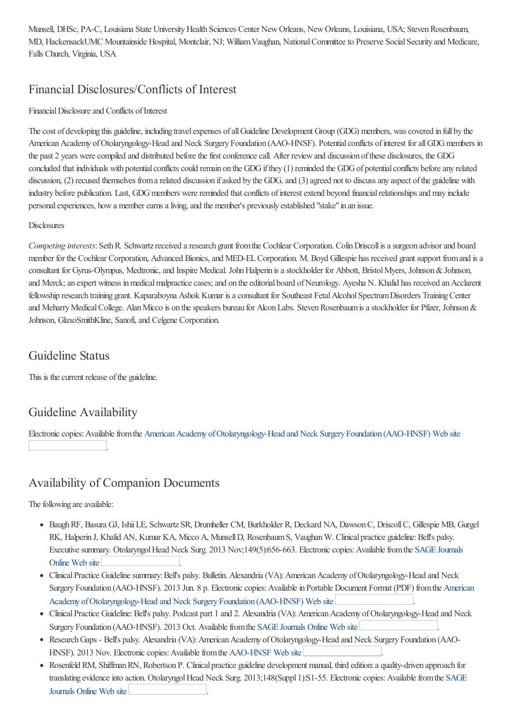Munsell, DHSc, PA-C, Louisiana State University Health Sciences Center New Orleans, New Orleans, Louisiana, USA; Steven Rosenbaum, MD, HackensackUMC Mountainside Hospital, Montclair, NJ; William Vaughan, National Committee to Preserve Social Security and Medicare, Falls Church, Virginia, USA

### Financial Disclosures/Conflicts of Interest

#### Financial Disclosure and Conflicts of Interest

The cost of developing this guideline, including travel expenses of all Guideline Development Group (GDG) members, was covered in full by the American Academy of Otolaryngology-Head and Neck Surgery Foundation (AAO-HNSF). Potential conflicts of interest for all GDG members in the past 2 years were compiled and distributed before the first conference call. After review and discussion of these disclosures, the GDG concluded that individuals with potential conflicts could remain on the GDG if they (1) reminded the GDG of potential conflicts before any related discussion, (2) recused themselves from a related discussion if asked by the GDG, and (3) agreed not to discuss any aspect of the guideline with industry before publication. Last, GDG members were reminded that conflicts of interest extend beyond financial relationships and may include personalexperiences, howa memberearnsaliving,and the member's previously established "stake"in an issue.

#### **Disclosures**

*Competing interests*: Seth R. Schwartz received a research grant from the Cochlear Corporation. Colin Driscoll is a surgeon advisor and board member for the Cochlear Corporation, Advanced Bionics, and MED-EL Corporation. M. Boyd Gillespie has received grant support from and is a consultant for Gyrus-Olympus, Medtronic, and Inspire Medical. John Halperin is a stockholder for Abbott, Bristol Myers, Johnson & Johnson, and Merck; an expert witness in medical malpractice cases; and on the editorial board of Neurology. Ayesha N. Khalid has received an Acclarent fellowship research training grant. Kaparaboyna Ashok Kumar is a consultant for Southeast Fetal Alcohol Spectrum Disorders Training Center and Meharry Medical College. Alan Micco is on the speakers bureau for Alcon Labs. Steven Rosenbaum is a stockholder for Pfizer, Johnson & Johnson, GlaxoSmithKline, Sanofi,and Celgene Corporation.

### Guideline Status

This is the current release of the guideline.

### Guideline Availability

Electronic copies: Available from the American Academy of Otolaryngology-Head and Neck Surgery Foundation (AAO-HNSF) Web site

### Availability of Companion Documents

.

The following are available:

- BaughRF, Basura GJ, IshiiLE, Schwartz SR, Drumheller CM, Burkholder R, Deckard NA, DawsonC, DriscollC, Gillespie MB, Gurgel RK, Halperin J, Khalid AN, Kumar KA, Micco A, Munsell D, Rosenbaum S, Vaughan W. Clinical practice guideline: Bell's palsy. Executive summary. Otolaryngol Head Neck Surg. 2013 Nov;149(5):656-663. Electronic copies: Available from the SAGE Journals Online Web site
- Clinical Practice Guideline summary: Bell's palsy. Bulletin. Alexandria (VA): American Academy of Otolaryngology-Head and Neck Surgery Foundation (AAO-HNSF). 2013 Jun. 8 p. Electronic copies: Available in Portable Document Format (PDF) from the American Academy of Otolaryngology-Head and Neck Surgery Foundation (AAO-HNSF) Web site
- Clinical Practice Guideline: Bell's palsy. Podcast part 1 and 2. Alexandria (VA): American Academy of Otolaryngology-Head and Neck Surgery Foundation (AAO-HNSF). 2013 Oct. Available from the SAGE [Journals](/Home/Disclaimer?id=47483&contentType=summary&redirect=http%3a%2f%2foto.sagepub.com%2fsite%2fmisc%2fIndex%2fPodcasts.xhtml) Online Web site
- Research Gaps Bell's palsy. Alexandria (VA): American Academy of Otolaryngology-Head and Neck Surgery Foundation (AAO-HNSF). 2013 Nov. Electronic copies: Available from the [AAO-HNSF](/Home/Disclaimer?id=47483&contentType=summary&redirect=http%3a%2f%2fwww.entnet.org%2fguide_lines%2fResearch-Gaps-Bells-palsy.cfm) Web site
- Rosenfeld RM, Shiffman RN, Robertson P. Clinical practice guideline development manual, third edition: a quality-driven approach for translating evidence into action. Otolaryngol Head Neck Surg. 2013;148(Suppl 1):S1-55. Electronic copies: Available from the SAGE Journals Online Web site .